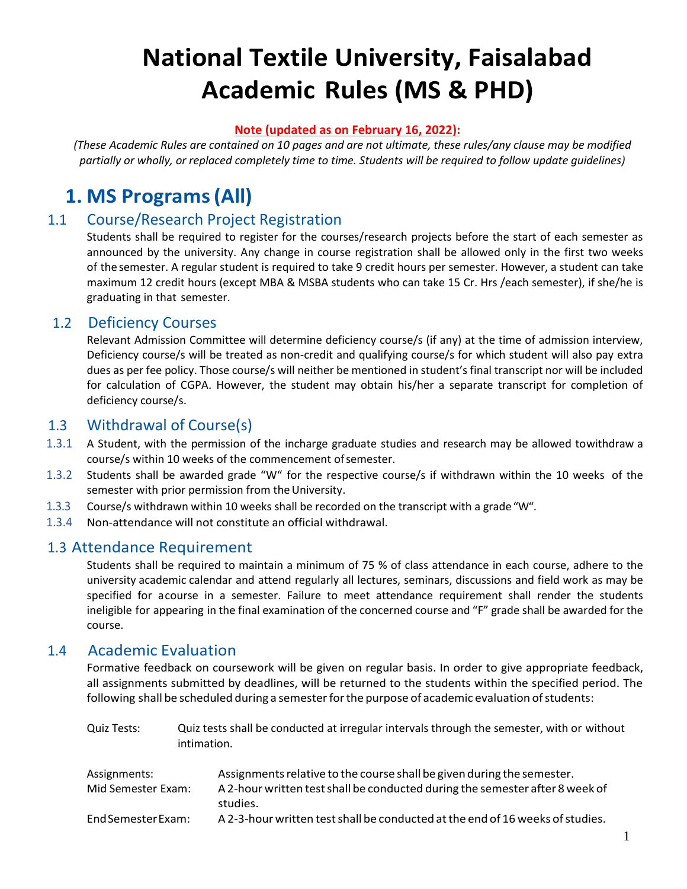# **National Textile University, Faisalabad Academic Rules (MS & PHD)**

#### **Note (updated as on February 16, 2022):**

*(These Academic Rules are contained on 10 pages and are not ultimate, these rules/any clause may be modified partially or wholly, or replaced completely time to time. Students will be required to follow update guidelines)*

# **1. MS Programs(All)**

#### 1.1 Course/Research Project Registration

Students shall be required to register for the courses/research projects before the start of each semester as announced by the university. Any change in course registration shall be allowed only in the first two weeks of the semester. A regular student is required to take 9 credit hours per semester. However, a student can take maximum 12 credit hours (except MBA & MSBA students who can take 15 Cr. Hrs /each semester), if she/he is graduating in that semester.

#### 1.2 Deficiency Courses

Relevant Admission Committee will determine deficiency course/s (if any) at the time of admission interview, Deficiency course/s will be treated as non-credit and qualifying course/s for which student will also pay extra dues as per fee policy. Those course/s will neither be mentioned in student's final transcript nor will be included for calculation of CGPA. However, the student may obtain his/her a separate transcript for completion of deficiency course/s.

#### 1.3 Withdrawal of Course(s)

- 1.3.1 A Student, with the permission of the incharge graduate studies and research may be allowed towithdraw a course/s within 10 weeks of the commencement ofsemester.
- 1.3.2 Students shall be awarded grade "W" for the respective course/s if withdrawn within the 10 weeks of the semester with prior permission from the University.
- 1.3.3 Course/s withdrawn within 10 weeks shall be recorded on the transcript with a grade "W".
- 1.3.4 Non-attendance will not constitute an official withdrawal.

#### 1.3 Attendance Requirement

Students shall be required to maintain a minimum of 75 % of class attendance in each course, adhere to the university academic calendar and attend regularly all lectures, seminars, discussions and field work as may be specified for acourse in a semester. Failure to meet attendance requirement shall render the students ineligible for appearing in the final examination of the concerned course and "F" grade shall be awarded for the course.

#### 1.4 Academic Evaluation

Formative feedback on coursework will be given on regular basis. In order to give appropriate feedback, all assignments submitted by deadlines, will be returned to the students within the specified period. The following shall be scheduled during a semester for the purpose of academic evaluation of students:

| Quiz Tests: | Quiz tests shall be conducted at irregular intervals through the semester, with or without |
|-------------|--------------------------------------------------------------------------------------------|
|             | intimation.                                                                                |

| Assignments:       | Assignments relative to the course shall be given during the semester.        |
|--------------------|-------------------------------------------------------------------------------|
| Mid Semester Exam: | A 2-hour written test shall be conducted during the semester after 8 week of  |
|                    | studies.                                                                      |
| End Semester Exam: | A 2-3-hour written test shall be conducted at the end of 16 weeks of studies. |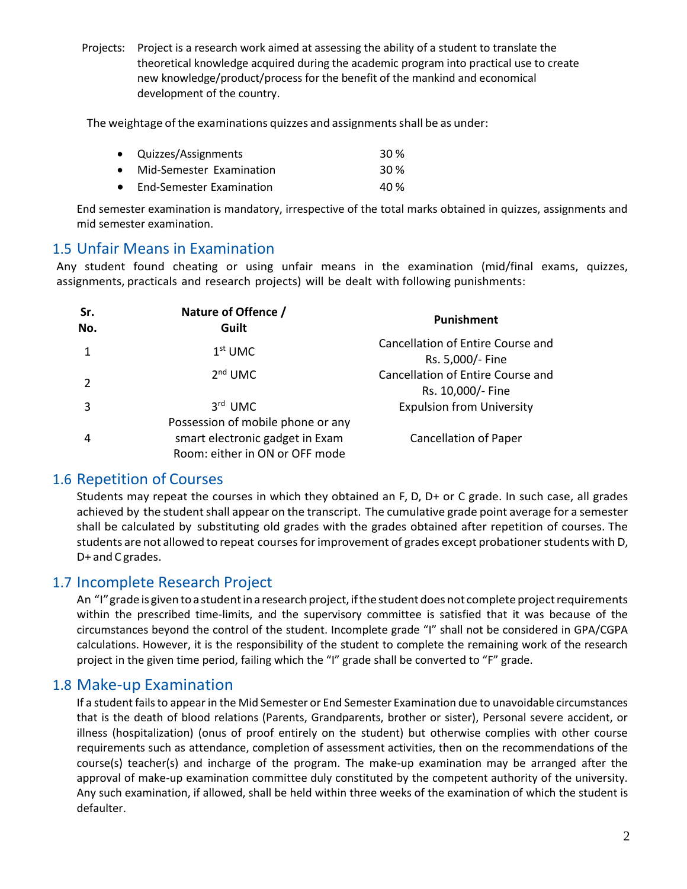Projects: Project is a research work aimed at assessing the ability of a student to translate the theoretical knowledge acquired during the academic program into practical use to create new knowledge/product/process for the benefit of the mankind and economical development of the country.

The weightage of the examinations quizzes and assignments shall be as under:

| • Quizzes/Assignments      | 30 <sup>%</sup> |
|----------------------------|-----------------|
| • Mid-Semester Examination | 30 <sup>%</sup> |
| • End-Semester Examination | 40 %            |

End semester examination is mandatory, irrespective of the total marks obtained in quizzes, assignments and mid semester examination.

#### 1.5 Unfair Means in Examination

Any student found cheating or using unfair means in the examination (mid/final exams, quizzes, assignments, practicals and research projects) will be dealt with following punishments:

| Sr.<br>No. | Nature of Offence /<br>Guilt      | Punishment                                             |
|------------|-----------------------------------|--------------------------------------------------------|
|            | $1st$ UMC                         | Cancellation of Entire Course and<br>Rs. 5,000/- Fine  |
|            | $2nd$ UMC                         | Cancellation of Entire Course and<br>Rs. 10,000/- Fine |
|            | $3rd$ UMC                         | <b>Expulsion from University</b>                       |
|            | Possession of mobile phone or any |                                                        |
| 4          | smart electronic gadget in Exam   | <b>Cancellation of Paper</b>                           |
|            | Room: either in ON or OFF mode    |                                                        |

#### 1.6 Repetition of Courses

Students may repeat the courses in which they obtained an F, D, D+ or C grade. In such case, all grades achieved by the student shall appear on the transcript. The cumulative grade point average for a semester shall be calculated by substituting old grades with the grades obtained after repetition of courses. The students are not allowed to repeat courses for improvement of grades except probationer students with D, D+ and C grades.

#### 1.7 Incomplete Research Project

An "I" grade is given to a student in a research project, if the student does not complete project requirements within the prescribed time-limits, and the supervisory committee is satisfied that it was because of the circumstances beyond the control of the student. Incomplete grade "I" shall not be considered in GPA/CGPA calculations. However, it is the responsibility of the student to complete the remaining work of the research project in the given time period, failing which the "I" grade shall be converted to "F" grade.

#### 1.8 Make-up Examination

If a student fails to appear in the Mid Semester or End Semester Examination due to unavoidable circumstances that is the death of blood relations (Parents, Grandparents, brother or sister), Personal severe accident, or illness (hospitalization) (onus of proof entirely on the student) but otherwise complies with other course requirements such as attendance, completion of assessment activities, then on the recommendations of the course(s) teacher(s) and incharge of the program. The make-up examination may be arranged after the approval of make-up examination committee duly constituted by the competent authority of the university. Any such examination, if allowed, shall be held within three weeks of the examination of which the student is defaulter.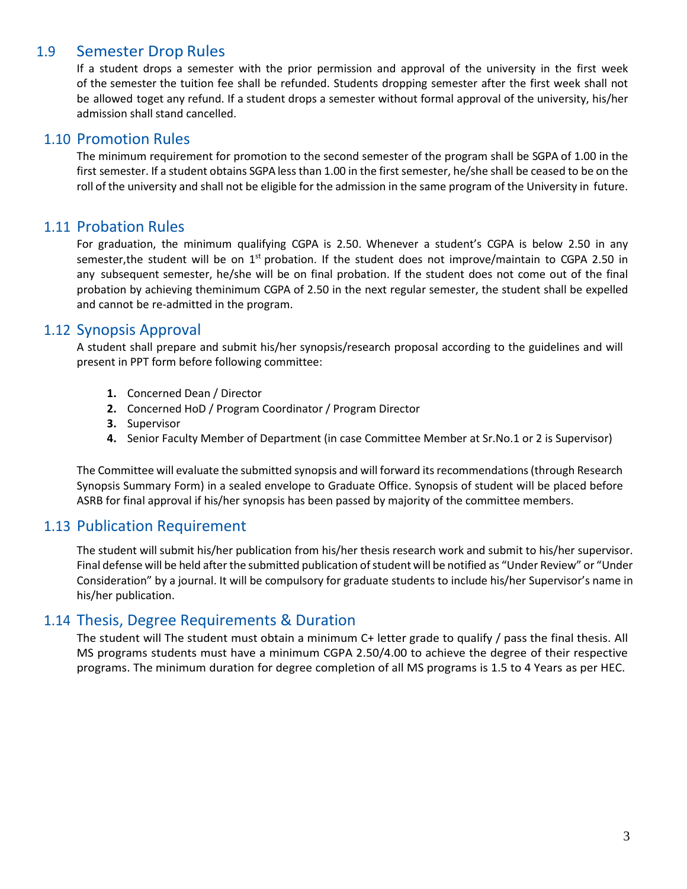#### 1.9 Semester Drop Rules

If a student drops a semester with the prior permission and approval of the university in the first week of the semester the tuition fee shall be refunded. Students dropping semester after the first week shall not be allowed toget any refund. If a student drops a semester without formal approval of the university, his/her admission shall stand cancelled.

#### 1.10 Promotion Rules

The minimum requirement for promotion to the second semester of the program shall be SGPA of 1.00 in the first semester. If a student obtains SGPA less than 1.00 in the first semester, he/she shall be ceased to be on the roll of the university and shall not be eligible for the admission in the same program of the University in future.

#### 1.11 Probation Rules

For graduation, the minimum qualifying CGPA is 2.50. Whenever a student's CGPA is below 2.50 in any semester,the student will be on 1<sup>st</sup> probation. If the student does not improve/maintain to CGPA 2.50 in any subsequent semester, he/she will be on final probation. If the student does not come out of the final probation by achieving theminimum CGPA of 2.50 in the next regular semester, the student shall be expelled and cannot be re-admitted in the program.

#### 1.12 Synopsis Approval

A student shall prepare and submit his/her synopsis/research proposal according to the guidelines and will present in PPT form before following committee:

- **1.** Concerned Dean / Director
- **2.** Concerned HoD / Program Coordinator / Program Director
- **3.** Supervisor
- **4.** Senior Faculty Member of Department (in case Committee Member at Sr.No.1 or 2 is Supervisor)

The Committee will evaluate the submitted synopsis and will forward its recommendations (through Research Synopsis Summary Form) in a sealed envelope to Graduate Office. Synopsis of student will be placed before ASRB for final approval if his/her synopsis has been passed by majority of the committee members.

#### 1.13 Publication Requirement

The student will submit his/her publication from his/her thesis research work and submit to his/her supervisor. Final defense will be held after the submitted publication of student will be notified as "Under Review" or "Under Consideration" by a journal. It will be compulsory for graduate students to include his/her Supervisor's name in his/her publication.

#### 1.14 Thesis, Degree Requirements & Duration

The student will The student must obtain a minimum C+ letter grade to qualify / pass the final thesis. All MS programs students must have a minimum CGPA 2.50/4.00 to achieve the degree of their respective programs. The minimum duration for degree completion of all MS programs is 1.5 to 4 Years as per HEC.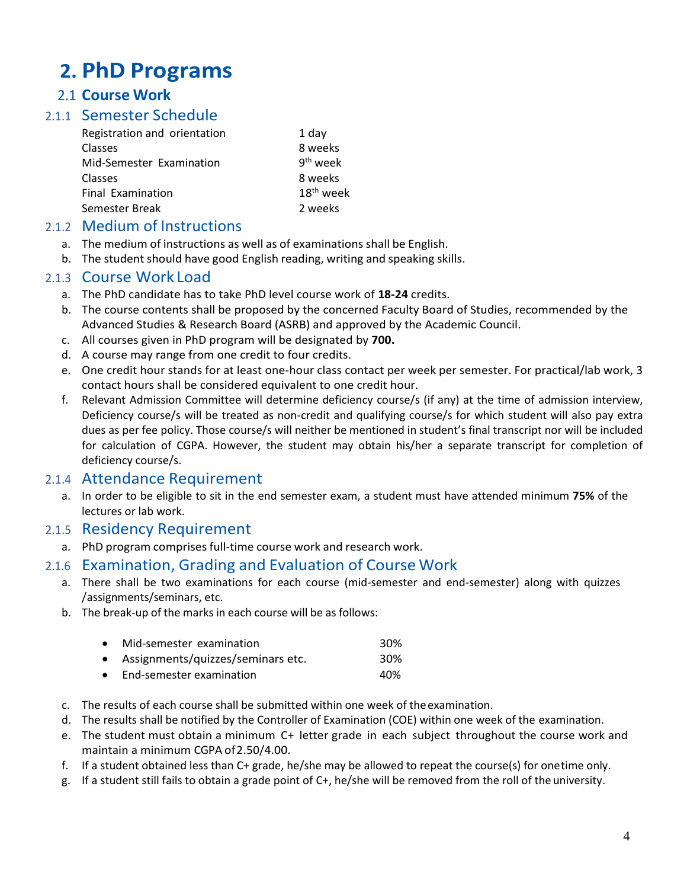# **2. PhD Programs**

### 2.1 **Course Work**

### 2.1.1 Semester Schedule

| Registration and orientation | 1 day                 |
|------------------------------|-----------------------|
| Classes                      | 8 weeks               |
| Mid-Semester Examination     | $9th$ week            |
| Classes                      | 8 weeks               |
| Final Examination            | 18 <sup>th</sup> week |
| Semester Break               | 2 weeks               |
|                              |                       |

#### 2.1.2 Medium of Instructions

- a. The medium of instructions as well as of examinations shall be English.
- b. The student should have good English reading, writing and speaking skills.

#### 2.1.3 Course Work Load

- a. The PhD candidate has to take PhD level course work of **18-24** credits.
- b. The course contents shall be proposed by the concerned Faculty Board of Studies, recommended by the Advanced Studies & Research Board (ASRB) and approved by the Academic Council.
- c. All courses given in PhD program will be designated by **700.**
- d. A course may range from one credit to four credits.
- e. One credit hour stands for at least one-hour class contact per week per semester. For practical/lab work, 3 contact hours shall be considered equivalent to one credit hour.
- f. Relevant Admission Committee will determine deficiency course/s (if any) at the time of admission interview, Deficiency course/s will be treated as non-credit and qualifying course/s for which student will also pay extra dues as per fee policy. Those course/s will neither be mentioned in student's final transcript nor will be included for calculation of CGPA. However, the student may obtain his/her a separate transcript for completion of deficiency course/s.

#### 2.1.4 Attendance Requirement

a. In order to be eligible to sit in the end semester exam, a student must have attended minimum **75%** of the lectures or lab work.

#### 2.1.5 Residency Requirement

a. PhD program comprises full-time course work and research work.

#### 2.1.6 Examination, Grading and Evaluation of Course Work

- a. There shall be two examinations for each course (mid-semester and end-semester) along with quizzes /assignments/seminars, etc.
- b. The break-up of the marks in each course will be as follows:

| • Mid-semester examination          | 30%             |
|-------------------------------------|-----------------|
| • Assignments/quizzes/seminars etc. | 30 <sup>%</sup> |
| $\bullet$ End-semester examination  | 40%             |

- c. The results of each course shall be submitted within one week of theexamination.
- d. The results shall be notified by the Controller of Examination (COE) within one week of the examination.
- e. The student must obtain a minimum C+ letter grade in each subject throughout the course work and maintain a minimum CGPA of 2.50/4.00.
- f. If a student obtained less than C+ grade, he/she may be allowed to repeat the course(s) for onetime only.
- g. If a student still fails to obtain a grade point of C+, he/she will be removed from the roll of the university.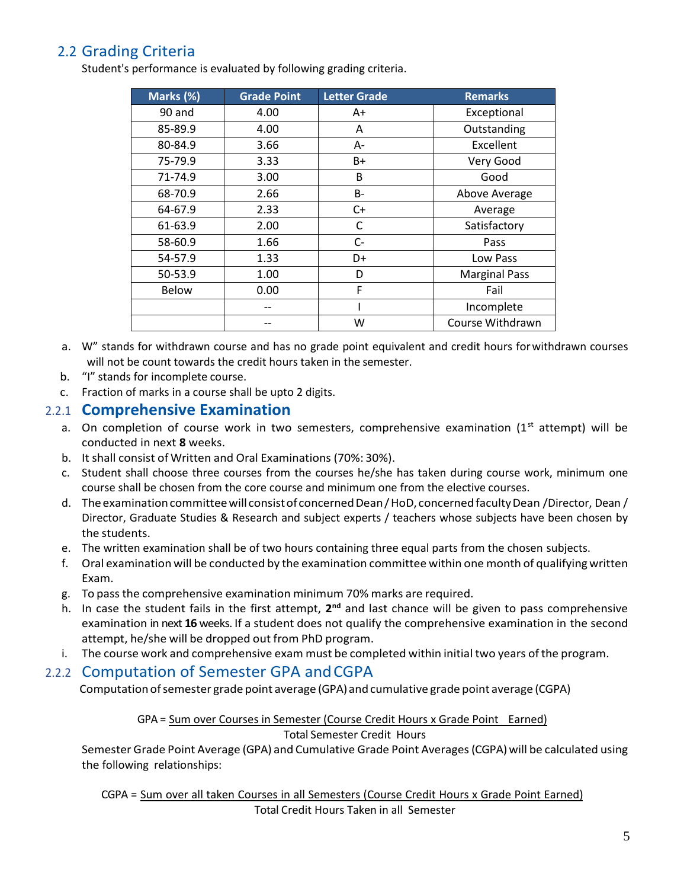## 2.2 Grading Criteria

Student's performance is evaluated by following grading criteria.

| Marks (%)    | <b>Grade Point</b> | <b>Letter Grade</b> | <b>Remarks</b>       |
|--------------|--------------------|---------------------|----------------------|
| 90 and       | 4.00               | A+                  | Exceptional          |
| 85-89.9      | 4.00               | Α                   | Outstanding          |
| 80-84.9      | 3.66               | A-                  | <b>Excellent</b>     |
| 75-79.9      | 3.33               | B+                  | Very Good            |
| 71-74.9      | 3.00               | B                   | Good                 |
| 68-70.9      | 2.66               | B-                  | Above Average        |
| 64-67.9      | 2.33               | $C+$                | Average              |
| 61-63.9      | 2.00               | C                   | Satisfactory         |
| 58-60.9      | 1.66               | $C-$                | Pass                 |
| 54-57.9      | 1.33               | D+                  | Low Pass             |
| 50-53.9      | 1.00               | D                   | <b>Marginal Pass</b> |
| <b>Below</b> | 0.00               | F                   | Fail                 |
|              |                    |                     | Incomplete           |
|              |                    | W                   | Course Withdrawn     |

- a. W" stands for withdrawn course and has no grade point equivalent and credit hours forwithdrawn courses will not be count towards the credit hours taken in the semester.
- b. "I" stands for incomplete course.
- c. Fraction of marks in a course shall be upto 2 digits.

#### 2.2.1 **Comprehensive Examination**

- a. On completion of course work in two semesters, comprehensive examination  $(1<sup>st</sup> attempt)$  will be conducted in next **8** weeks.
- b. It shall consist of Written and Oral Examinations (70%: 30%).
- c. Student shall choose three courses from the courses he/she has taken during course work, minimum one course shall be chosen from the core course and minimum one from the elective courses.
- d. The examination committee will consist of concerned Dean / HoD, concerned faculty Dean / Director, Dean / Director, Graduate Studies & Research and subject experts / teachers whose subjects have been chosen by the students.
- e. The written examination shall be of two hours containing three equal parts from the chosen subjects.
- f. Oral examination will be conducted by the examination committee within one month of qualifyingwritten Exam.
- g. To passthe comprehensive examination minimum 70% marks are required.
- h. In case the student fails in the first attempt, 2<sup>nd</sup> and last chance will be given to pass comprehensive examination in next **16** weeks. If a student does not qualify the comprehensive examination in the second attempt, he/she will be dropped out from PhD program.
- i. The course work and comprehensive exam must be completed within initial two years ofthe program.

#### 2.2.2 Computation of Semester GPA andCGPA

Computation of semester grade point average (GPA) and cumulative grade point average (CGPA)

#### GPA = Sum over Courses in Semester (Course Credit Hours x Grade Point Earned) Total Semester Credit Hours

Semester Grade Point Average (GPA) and Cumulative Grade Point Averages (CGPA) will be calculated using the following relationships:

CGPA = Sum over all taken Courses in all Semesters (Course Credit Hours x Grade Point Earned) Total Credit Hours Taken in all Semester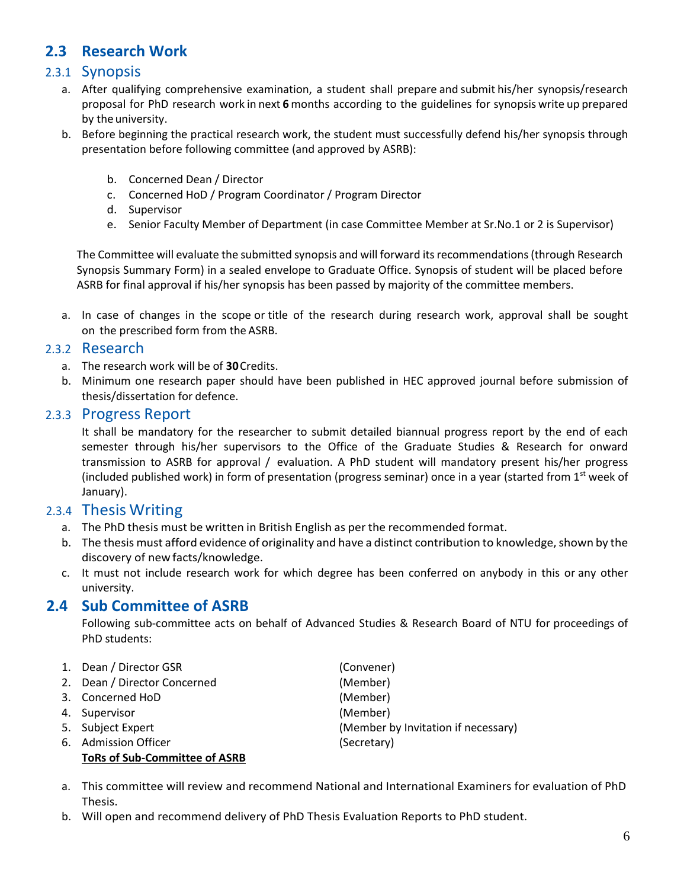## **2.3 Research Work**

#### 2.3.1 Synopsis

- a. After qualifying comprehensive examination, a student shall prepare and submit his/her synopsis/research proposal for PhD research work in next **6** months according to the guidelines for synopsis write up prepared by the university.
- b. Before beginning the practical research work, the student must successfully defend his/her synopsis through presentation before following committee (and approved by ASRB):
	- b. Concerned Dean / Director
	- c. Concerned HoD / Program Coordinator / Program Director
	- d. Supervisor
	- e. Senior Faculty Member of Department (in case Committee Member at Sr.No.1 or 2 is Supervisor)

The Committee will evaluate the submitted synopsis and will forward its recommendations (through Research Synopsis Summary Form) in a sealed envelope to Graduate Office. Synopsis of student will be placed before ASRB for final approval if his/her synopsis has been passed by majority of the committee members.

a. In case of changes in the scope or title of the research during research work, approval shall be sought on the prescribed form from the ASRB.

#### 2.3.2 Research

- a. The research work will be of **30**Credits.
- b. Minimum one research paper should have been published in HEC approved journal before submission of thesis/dissertation for defence.

#### 2.3.3 Progress Report

It shall be mandatory for the researcher to submit detailed biannual progress report by the end of each semester through his/her supervisors to the Office of the Graduate Studies & Research for onward transmission to ASRB for approval / evaluation. A PhD student will mandatory present his/her progress (included published work) in form of presentation (progress seminar) once in a year (started from  $1<sup>st</sup>$  week of January).

#### 2.3.4 Thesis Writing

- a. The PhD thesis must be written in British English as per the recommended format.
- b. The thesis must afford evidence of originality and have a distinct contribution to knowledge, shown by the discovery of new facts/knowledge.
- c. It must not include research work for which degree has been conferred on anybody in this or any other university.

#### **2.4 Sub Committee of ASRB**

Following sub-committee acts on behalf of Advanced Studies & Research Board of NTU for proceedings of PhD students:

| 1. Dean / Director GSR               | (Convener)                          |
|--------------------------------------|-------------------------------------|
| 2. Dean / Director Concerned         | (Member)                            |
| 3. Concerned HoD                     | (Member)                            |
| 4. Supervisor                        | (Member)                            |
| 5. Subject Expert                    | (Member by Invitation if necessary) |
| 6. Admission Officer                 | (Secretary)                         |
| <b>ToRs of Sub-Committee of ASRB</b> |                                     |

- a. This committee will review and recommend National and International Examiners for evaluation of PhD Thesis.
- b. Will open and recommend delivery of PhD Thesis Evaluation Reports to PhD student.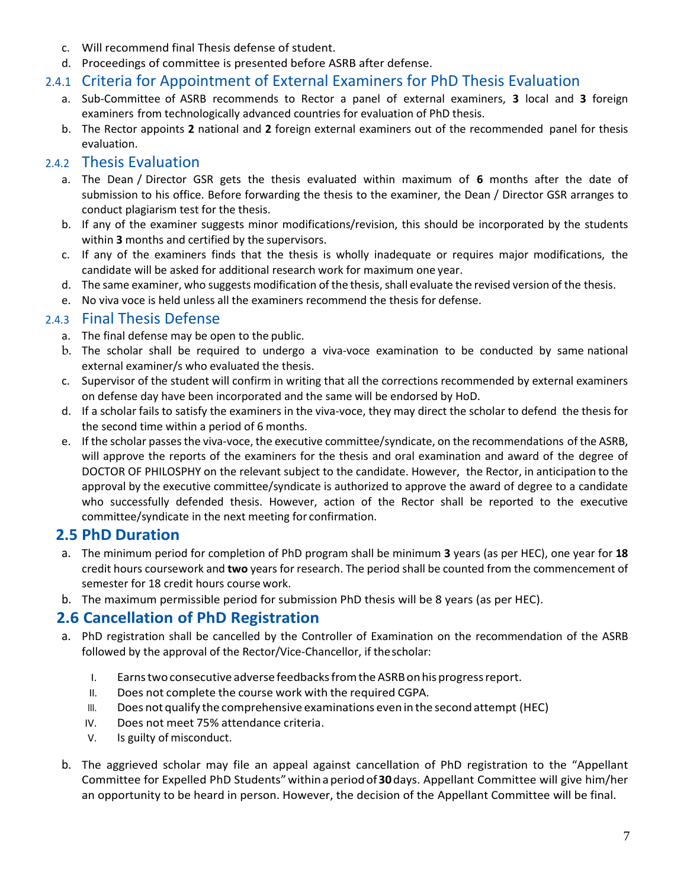- c. Will recommend final Thesis defense of student.
- d. Proceedings of committee is presented before ASRB after defense.

#### 2.4.1 Criteria for Appointment of External Examiners for PhD Thesis Evaluation

- a. Sub-Committee of ASRB recommends to Rector a panel of external examiners, **3** local and **3** foreign examiners from technologically advanced countries for evaluation of PhD thesis.
- b. The Rector appoints **2** national and **2** foreign external examiners out of the recommended panel for thesis evaluation.

#### 2.4.2 Thesis Evaluation

- a. The Dean / Director GSR gets the thesis evaluated within maximum of **6** months after the date of submission to his office. Before forwarding the thesis to the examiner, the Dean / Director GSR arranges to conduct plagiarism test for the thesis.
- b. If any of the examiner suggests minor modifications/revision, this should be incorporated by the students within **3** months and certified by the supervisors.
- c. If any of the examiners finds that the thesis is wholly inadequate or requires major modifications, the candidate will be asked for additional research work for maximum one year.
- d. The same examiner, who suggests modification of the thesis, shall evaluate the revised version of the thesis.
- e. No viva voce is held unless all the examiners recommend the thesis for defense.

#### 2.4.3 Final Thesis Defense

- a. The final defense may be open to the public.
- b. The scholar shall be required to undergo a viva-voce examination to be conducted by same national external examiner/s who evaluated the thesis.
- c. Supervisor of the student will confirm in writing that all the corrections recommended by external examiners on defense day have been incorporated and the same will be endorsed by HoD.
- d. If a scholar fails to satisfy the examiners in the viva-voce, they may direct the scholar to defend the thesis for the second time within a period of 6 months.
- e. If the scholar passes the viva-voce, the executive committee/syndicate, on the recommendations of the ASRB, will approve the reports of the examiners for the thesis and oral examination and award of the degree of DOCTOR OF PHILOSPHY on the relevant subject to the candidate. However, the Rector, in anticipation to the approval by the executive committee/syndicate is authorized to approve the award of degree to a candidate who successfully defended thesis. However, action of the Rector shall be reported to the executive committee/syndicate in the next meeting for confirmation.

#### **2.5 PhD Duration**

- a. The minimum period for completion of PhD program shall be minimum **3** years (as per HEC), one year for **18** credit hours coursework and **two** years for research. The period shall be counted from the commencement of semester for 18 credit hours course work.
- b. The maximum permissible period for submission PhD thesis will be 8 years (as per HEC).

#### **2.6 Cancellation of PhD Registration**

- a. PhD registration shall be cancelled by the Controller of Examination on the recommendation of the ASRB followed by the approval of the Rector/Vice-Chancellor, if thescholar:
	- I. Earnstwoconsecutive adverse feedbacksfromtheASRBonhisprogressreport.
	- II. Does not complete the course work with the required CGPA.
	- III. Does not qualify the comprehensive examinations even in the second attempt (HEC)
	- IV. Does not meet 75% attendance criteria.
	- V. Is guilty of misconduct.
- b. The aggrieved scholar may file an appeal against cancellation of PhD registration to the "Appellant Committee for Expelled PhD Students"withinaperiodof**30**days. Appellant Committee will give him/her an opportunity to be heard in person. However, the decision of the Appellant Committee will be final.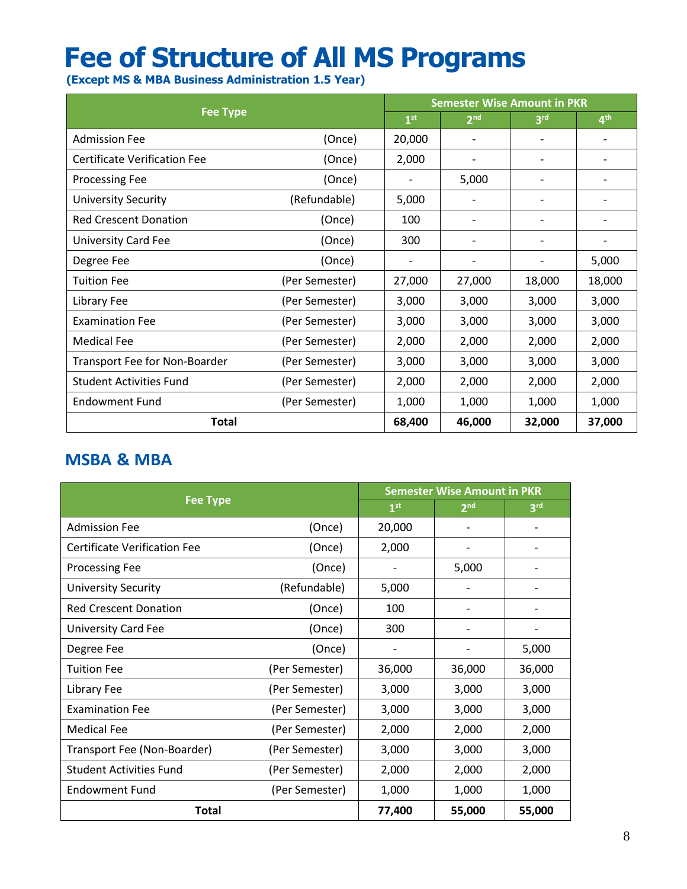# **Fee of Structure of All MS Programs**

 **(Except MS & MBA Business Administration 1.5 Year)**

| <b>Fee Type</b>                     |                |                              | <b>Semester Wise Amount in PKR</b> |                              |                          |  |
|-------------------------------------|----------------|------------------------------|------------------------------------|------------------------------|--------------------------|--|
|                                     |                |                              | 2 <sub>nd</sub>                    | 3 <sup>rd</sup>              | 4 <sup>th</sup>          |  |
| <b>Admission Fee</b>                | (Once)         | 20,000                       |                                    |                              |                          |  |
| <b>Certificate Verification Fee</b> | (Once)         | 2,000                        | $\overline{\phantom{a}}$           | $\overline{\phantom{a}}$     | $\overline{\phantom{a}}$ |  |
| <b>Processing Fee</b>               | (Once)         | $\qquad \qquad \blacksquare$ | 5,000                              | -                            | $\overline{\phantom{a}}$ |  |
| <b>University Security</b>          | (Refundable)   | 5,000                        |                                    | $\qquad \qquad \blacksquare$ |                          |  |
| <b>Red Crescent Donation</b>        | (Once)         | 100                          |                                    | $\overline{\phantom{0}}$     |                          |  |
| <b>University Card Fee</b>          | (Once)         | 300                          |                                    | $\overline{\phantom{0}}$     | $\overline{\phantom{a}}$ |  |
| Degree Fee                          | (Once)         | $\overline{\phantom{a}}$     | $\overline{\phantom{a}}$           | $\overline{\phantom{0}}$     | 5,000                    |  |
| <b>Tuition Fee</b>                  | (Per Semester) | 27,000                       | 27,000                             | 18,000                       | 18,000                   |  |
| Library Fee                         | (Per Semester) | 3,000                        | 3,000                              | 3,000                        | 3,000                    |  |
| <b>Examination Fee</b>              | (Per Semester) | 3,000                        | 3,000                              | 3,000                        | 3,000                    |  |
| <b>Medical Fee</b>                  | (Per Semester) | 2,000                        | 2,000                              | 2,000                        | 2,000                    |  |
| Transport Fee for Non-Boarder       | (Per Semester) | 3,000                        | 3,000                              | 3,000                        | 3,000                    |  |
| <b>Student Activities Fund</b>      | (Per Semester) | 2,000                        | 2,000                              | 2,000                        | 2,000                    |  |
| <b>Endowment Fund</b>               | (Per Semester) | 1,000                        | 1,000                              | 1,000                        | 1,000                    |  |
| <b>Total</b>                        |                |                              | 46,000                             | 32,000                       | 37,000                   |  |

## **MSBA & MBA**

|                                     | <b>Semester Wise Amount in PKR</b> |                 |                 |        |
|-------------------------------------|------------------------------------|-----------------|-----------------|--------|
| <b>Fee Type</b>                     | 1 <sup>st</sup>                    | 2 <sup>nd</sup> | 3 <sup>rd</sup> |        |
| <b>Admission Fee</b>                | (Once)                             | 20,000          |                 |        |
| <b>Certificate Verification Fee</b> | (Once)                             | 2,000           |                 |        |
| <b>Processing Fee</b>               | (Once)                             |                 | 5,000           |        |
| <b>University Security</b>          | (Refundable)                       | 5,000           |                 |        |
| <b>Red Crescent Donation</b>        | (Once)                             | 100             |                 |        |
| <b>University Card Fee</b>          | (Once)                             | 300             |                 |        |
| Degree Fee                          | (Once)                             |                 |                 | 5,000  |
| <b>Tuition Fee</b>                  | (Per Semester)                     | 36,000          | 36,000          | 36,000 |
| Library Fee                         | (Per Semester)                     | 3,000           | 3,000           | 3,000  |
| <b>Examination Fee</b>              | (Per Semester)                     | 3,000           | 3,000           | 3,000  |
| <b>Medical Fee</b>                  | (Per Semester)                     | 2,000           | 2,000           | 2,000  |
| Transport Fee (Non-Boarder)         | (Per Semester)                     | 3,000           | 3,000           | 3,000  |
| <b>Student Activities Fund</b>      | (Per Semester)                     | 2,000           | 2,000           | 2,000  |
| <b>Endowment Fund</b>               | (Per Semester)                     | 1,000           | 1,000           | 1,000  |
| Total                               |                                    | 77,400          | 55,000          | 55,000 |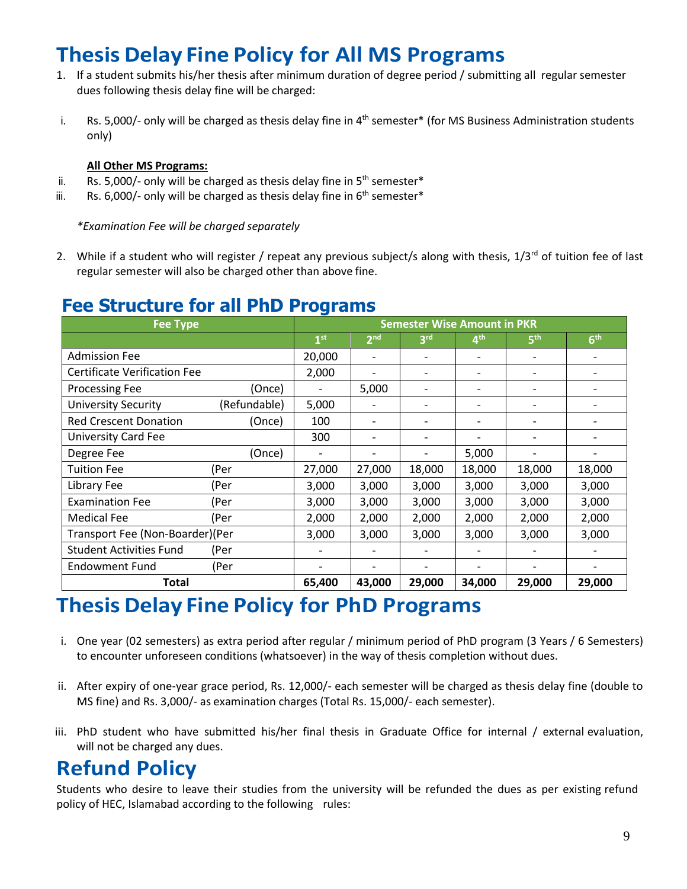# **ThesisDelay Fine Policy for All MS Programs**

- 1. If a student submits his/her thesis after minimum duration of degree period / submitting all regular semester dues following thesis delay fine will be charged:
- i. Bs. 5,000/- only will be charged as thesis delay fine in 4<sup>th</sup> semester\* (for MS Business Administration students only)

#### **All Other MS Programs:**

- ii. Rs. 5,000/- only will be charged as thesis delay fine in  $5<sup>th</sup>$  semester\*
- iii. Rs. 6,000/- only will be charged as thesis delay fine in  $6<sup>th</sup>$  semester\*

*\*Examination Fee will be charged separately*

2. While if a student who will register / repeat any previous subject/s along with thesis,  $1/3^{rd}$  of tuition fee of last regular semester will also be charged other than above fine.

## **Fee Structure for all PhD Programs**

| <b>Fee Type</b>                     |              |                 | <b>Semester Wise Amount in PKR</b> |                          |                          |                              |                          |
|-------------------------------------|--------------|-----------------|------------------------------------|--------------------------|--------------------------|------------------------------|--------------------------|
|                                     |              | 1 <sup>st</sup> | 2 <sup>nd</sup>                    | 3 <sup>rd</sup>          | 4 <sup>th</sup>          | 5 <sup>th</sup>              | 6 <sup>th</sup>          |
| <b>Admission Fee</b>                |              | 20,000          | $\overline{a}$                     | $\overline{\phantom{a}}$ |                          | $\overline{\phantom{0}}$     |                          |
| <b>Certificate Verification Fee</b> |              | 2,000           |                                    | $\overline{\phantom{0}}$ |                          | $\overline{\phantom{0}}$     | ۰                        |
| Processing Fee                      | (Once)       |                 | 5,000                              | $\overline{\phantom{a}}$ | $\overline{\phantom{a}}$ | $\overline{\phantom{0}}$     | $\overline{\phantom{0}}$ |
| <b>University Security</b>          | (Refundable) | 5,000           |                                    | $\overline{\phantom{a}}$ | $\overline{\phantom{a}}$ | $\overline{\phantom{0}}$     | $\overline{\phantom{0}}$ |
| <b>Red Crescent Donation</b>        | (Once)       | 100             | $\overline{\phantom{a}}$           | -                        | $\overline{\phantom{a}}$ | $\qquad \qquad \blacksquare$ |                          |
| <b>University Card Fee</b>          |              | 300             | $\overline{\phantom{a}}$           | $\overline{\phantom{a}}$ |                          | $\overline{\phantom{0}}$     |                          |
| Degree Fee                          | (Once)       |                 |                                    |                          | 5,000                    | $\overline{\phantom{0}}$     |                          |
| <b>Tuition Fee</b>                  | (Per         | 27,000          | 27,000                             | 18,000                   | 18,000                   | 18,000                       | 18,000                   |
| Library Fee                         | (Per         | 3,000           | 3,000                              | 3,000                    | 3,000                    | 3,000                        | 3,000                    |
| <b>Examination Fee</b>              | (Per         | 3,000           | 3,000                              | 3,000                    | 3,000                    | 3,000                        | 3,000                    |
| <b>Medical Fee</b>                  | (Per         | 2,000           | 2,000                              | 2,000                    | 2,000                    | 2,000                        | 2,000                    |
| Transport Fee (Non-Boarder)(Per     |              | 3,000           | 3,000                              | 3,000                    | 3,000                    | 3,000                        | 3,000                    |
| <b>Student Activities Fund</b>      | (Per         |                 |                                    | $\overline{\phantom{a}}$ |                          |                              |                          |
| <b>Endowment Fund</b>               | (Per         |                 |                                    | $\overline{\phantom{a}}$ |                          | $\overline{\phantom{0}}$     | $\overline{\phantom{0}}$ |
| Total                               | 65,400       | 43,000          | 29,000                             | 34,000                   | 29,000                   | 29,000                       |                          |

## **Thesis Delay Fine Policy for PhD Programs**

- i. One year (02 semesters) as extra period after regular / minimum period of PhD program (3 Years / 6 Semesters) to encounter unforeseen conditions (whatsoever) in the way of thesis completion without dues.
- ii. After expiry of one-year grace period, Rs. 12,000/- each semester will be charged as thesis delay fine (double to MS fine) and Rs. 3,000/- as examination charges (Total Rs. 15,000/- each semester).
- iii. PhD student who have submitted his/her final thesis in Graduate Office for internal / external evaluation, will not be charged any dues.

# **Refund Policy**

Students who desire to leave their studies from the university will be refunded the dues as per existing refund policy of HEC, Islamabad according to the following rules: